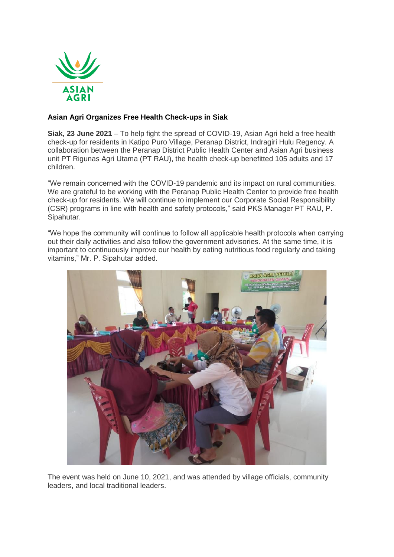

## **Asian Agri Organizes Free Health Check-ups in Siak**

**Siak, 23 June 2021** – To help fight the spread of COVID-19, Asian Agri held a free health check-up for residents in Katipo Puro Village, Peranap District, Indragiri Hulu Regency. A collaboration between the Peranap District Public Health Center and Asian Agri business unit PT Rigunas Agri Utama (PT RAU), the health check-up benefitted 105 adults and 17 children.

"We remain concerned with the COVID-19 pandemic and its impact on rural communities. We are grateful to be working with the Peranap Public Health Center to provide free health check-up for residents. We will continue to implement our Corporate Social Responsibility (CSR) programs in line with health and safety protocols," said PKS Manager PT RAU, P. Sipahutar.

"We hope the community will continue to follow all applicable health protocols when carrying out their daily activities and also follow the government advisories. At the same time, it is important to continuously improve our health by eating nutritious food regularly and taking vitamins," Mr. P. Sipahutar added.



The event was held on June 10, 2021, and was attended by village officials, community leaders, and local traditional leaders.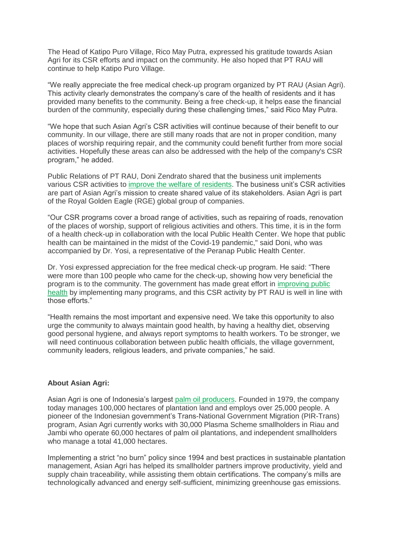The Head of Katipo Puro Village, Rico May Putra, expressed his gratitude towards Asian Agri for its CSR efforts and impact on the community. He also hoped that PT RAU will continue to help Katipo Puro Village.

"We really appreciate the free medical check-up program organized by PT RAU (Asian Agri). This activity clearly demonstrates the company's care of the health of residents and it has provided many benefits to the community. Being a free check-up, it helps ease the financial burden of the community, especially during these challenging times," said Rico May Putra.

"We hope that such Asian Agri's CSR activities will continue because of their benefit to our community. In our village, there are still many roads that are not in proper condition, many places of worship requiring repair, and the community could benefit further from more social activities. Hopefully these areas can also be addressed with the help of the company's CSR program," he added.

Public Relations of PT RAU, Doni Zendrato shared that the business unit implements various CSR activities to [improve the welfare of residents.](https://www.asianagri.com/en/medias-ori/media/articles/an-egg-cellent-way-to-boost-the-local-economy) The business unit's CSR activities are part of Asian Agri's mission to create shared value of its stakeholders. Asian Agri is part of the Royal Golden Eagle (RGE) global group of companies.

"Our CSR programs cover a broad range of activities, such as repairing of roads, renovation of the places of worship, support of religious activities and others. This time, it is in the form of a health check-up in collaboration with the local Public Health Center. We hope that public health can be maintained in the midst of the Covid-19 pandemic," said Doni, who was accompanied by Dr. Yosi, a representative of the Peranap Public Health Center.

Dr. Yosi expressed appreciation for the free medical check-up program. He said: "There were more than 100 people who came for the check-up, showing how very beneficial the program is to the community. The government has made great effort in [improving public](https://www.asianagri.com/en/medias-ori/media/articles/asian-agri-provides-health-amenities-to-rural-communities-in-indonesia)  [health](https://www.asianagri.com/en/medias-ori/media/articles/asian-agri-provides-health-amenities-to-rural-communities-in-indonesia) by implementing many programs, and this CSR activity by PT RAU is well in line with those efforts."

"Health remains the most important and expensive need. We take this opportunity to also urge the community to always maintain good health, by having a healthy diet, observing good personal hygiene, and always report symptoms to health workers. To be stronger, we will need continuous collaboration between public health officials, the village government, community leaders, religious leaders, and private companies," he said.

## **About Asian Agri:**

Asian Agri is one of Indonesia's largest [palm oil producers.](https://www.asianagri.com/en/about-us) Founded in 1979, the company today manages 100,000 hectares of plantation land and employs over 25,000 people. A pioneer of the Indonesian government's Trans-National Government Migration (PIR-Trans) program, Asian Agri currently works with 30,000 Plasma Scheme smallholders in Riau and Jambi who operate 60,000 hectares of palm oil plantations, and independent smallholders who manage a total 41,000 hectares.

Implementing a strict "no burn" policy since 1994 and best practices in sustainable plantation management, Asian Agri has helped its smallholder partners improve productivity, yield and supply chain traceability, while assisting them obtain certifications. The company's mills are technologically advanced and energy self-sufficient, minimizing greenhouse gas emissions.